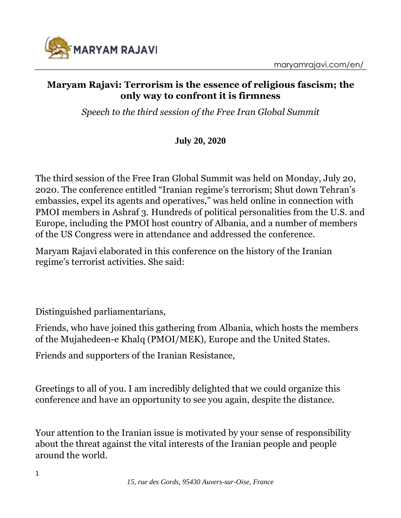

#### **Maryam Rajavi: Terrorism is the essence of religious fascism; the only way to confront it is firmness**

*Speech to the third session of the Free Iran Global Summit*

### **July 20, 2020**

The third session of the Free Iran Global Summit was held on Monday, July 20, 2020. The conference entitled "Iranian regime's terrorism; Shut down Tehran's embassies, expel its agents and operatives," was held online in connection with PMOI members in Ashraf 3. Hundreds of political personalities from the U.S. and Europe, including the PMOI host country of Albania, and a number of members of the US Congress were in attendance and addressed the conference.

Maryam Rajavi elaborated in this conference on the history of the Iranian regime's terrorist activities. She said:

Distinguished parliamentarians,

Friends, who have joined this gathering from Albania, which hosts the members of the Mujahedeen-e Khalq (PMOI/MEK), Europe and the United States.

Friends and supporters of the Iranian Resistance,

Greetings to all of you. I am incredibly delighted that we could organize this conference and have an opportunity to see you again, despite the distance.

Your attention to the Iranian issue is motivated by your sense of responsibility about the threat against the vital interests of the Iranian people and people around the world.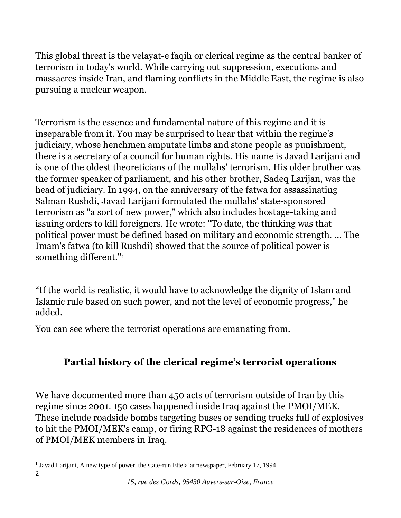This global threat is the velayat-e faqih or clerical regime as the central banker of terrorism in today's world. While carrying out suppression, executions and massacres inside Iran, and flaming conflicts in the Middle East, the regime is also pursuing a nuclear weapon.

Terrorism is the essence and fundamental nature of this regime and it is inseparable from it. You may be surprised to hear that within the regime's judiciary, whose henchmen amputate limbs and stone people as punishment, there is a secretary of a council for human rights. His name is Javad Larijani and is one of the oldest theoreticians of the mullahs' terrorism. His older brother was the former speaker of parliament, and his other brother, Sadeq Larijan, was the head of judiciary. In 1994, on the anniversary of the fatwa for assassinating Salman Rushdi, Javad Larijani formulated the mullahs' state-sponsored terrorism as "a sort of new power," which also includes hostage-taking and issuing orders to kill foreigners. He wrote: "To date, the thinking was that political power must be defined based on military and economic strength. ... The Imam's fatwa (to kill Rushdi) showed that the source of political power is something different."<sup>1</sup>

"If the world is realistic, it would have to acknowledge the dignity of Islam and Islamic rule based on such power, and not the level of economic progress," he added.

You can see where the terrorist operations are emanating from.

# **Partial history of the clerical regime's terrorist operations**

We have documented more than 450 acts of terrorism outside of Iran by this regime since 2001. 150 cases happened inside Iraq against the PMOI/MEK. These include roadside bombs targeting buses or sending trucks full of explosives to hit the PMOI/MEK's camp, or firing RPG-18 against the residences of mothers of PMOI/MEK members in Iraq.

<sup>2</sup> <sup>1</sup> Javad Larijani, A new type of power, the state-run Ettela'at newspaper, February 17, 1994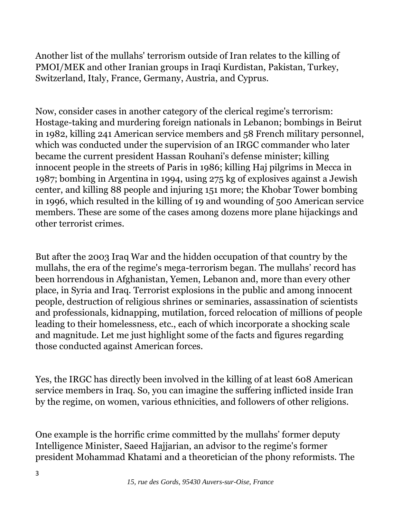Another list of the mullahs' terrorism outside of Iran relates to the killing of PMOI/MEK and other Iranian groups in Iraqi Kurdistan, Pakistan, Turkey, Switzerland, Italy, France, Germany, Austria, and Cyprus.

Now, consider cases in another category of the clerical regime's terrorism: Hostage-taking and murdering foreign nationals in Lebanon; bombings in Beirut in 1982, killing 241 American service members and 58 French military personnel, which was conducted under the supervision of an IRGC commander who later became the current president Hassan Rouhani's defense minister; killing innocent people in the streets of Paris in 1986; killing Haj pilgrims in Mecca in 1987; bombing in Argentina in 1994, using 275 kg of explosives against a Jewish center, and killing 88 people and injuring 151 more; the Khobar Tower bombing in 1996, which resulted in the killing of 19 and wounding of 500 American service members. These are some of the cases among dozens more plane hijackings and other terrorist crimes.

But after the 2003 Iraq War and the hidden occupation of that country by the mullahs, the era of the regime's mega-terrorism began. The mullahs' record has been horrendous in Afghanistan, Yemen, Lebanon and, more than every other place, in Syria and Iraq. Terrorist explosions in the public and among innocent people, destruction of religious shrines or seminaries, assassination of scientists and professionals, kidnapping, mutilation, forced relocation of millions of people leading to their homelessness, etc., each of which incorporate a shocking scale and magnitude. Let me just highlight some of the facts and figures regarding those conducted against American forces.

Yes, the IRGC has directly been involved in the killing of at least 608 American service members in Iraq. So, you can imagine the suffering inflicted inside Iran by the regime, on women, various ethnicities, and followers of other religions.

One example is the horrific crime committed by the mullahs' former deputy Intelligence Minister, Saeed Hajjarian, an advisor to the regime's former president Mohammad Khatami and a theoretician of the phony reformists. The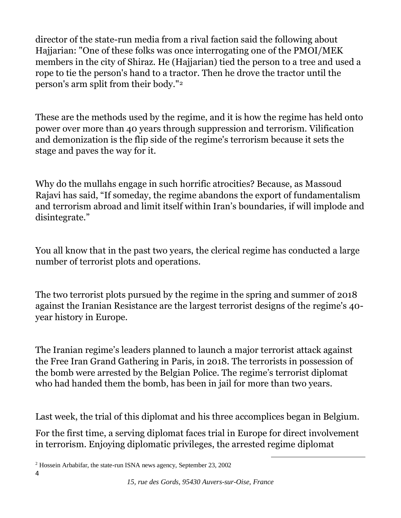director of the state-run media from a rival faction said the following about Hajjarian: "One of these folks was once interrogating one of the PMOI/MEK members in the city of Shiraz. He (Hajjarian) tied the person to a tree and used a rope to tie the person's hand to a tractor. Then he drove the tractor until the person's arm split from their body."<sup>2</sup>

These are the methods used by the regime, and it is how the regime has held onto power over more than 40 years through suppression and terrorism. Vilification and demonization is the flip side of the regime's terrorism because it sets the stage and paves the way for it.

Why do the mullahs engage in such horrific atrocities? Because, as Massoud Rajavi has said, "If someday, the regime abandons the export of fundamentalism and terrorism abroad and limit itself within Iran's boundaries, if will implode and disintegrate."

You all know that in the past two years, the clerical regime has conducted a large number of terrorist plots and operations.

The two terrorist plots pursued by the regime in the spring and summer of 2018 against the Iranian Resistance are the largest terrorist designs of the regime's 40 year history in Europe.

The Iranian regime's leaders planned to launch a major terrorist attack against the Free Iran Grand Gathering in Paris, in 2018. The terrorists in possession of the bomb were arrested by the Belgian Police. The regime's terrorist diplomat who had handed them the bomb, has been in jail for more than two years.

Last week, the trial of this diplomat and his three accomplices began in Belgium.

For the first time, a serving diplomat faces trial in Europe for direct involvement in terrorism. Enjoying diplomatic privileges, the arrested regime diplomat

<sup>2</sup> Hossein Arbabifar, the state-run ISNA news agency, September 23, 2002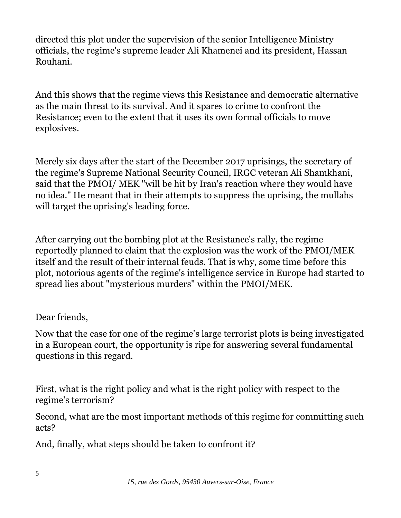directed this plot under the supervision of the senior Intelligence Ministry officials, the regime's supreme leader Ali Khamenei and its president, Hassan Rouhani.

And this shows that the regime views this Resistance and democratic alternative as the main threat to its survival. And it spares to crime to confront the Resistance; even to the extent that it uses its own formal officials to move explosives.

Merely six days after the start of the December 2017 uprisings, the secretary of the regime's Supreme National Security Council, IRGC veteran Ali Shamkhani, said that the PMOI/ MEK "will be hit by Iran's reaction where they would have no idea." He meant that in their attempts to suppress the uprising, the mullahs will target the uprising's leading force.

After carrying out the bombing plot at the Resistance's rally, the regime reportedly planned to claim that the explosion was the work of the PMOI/MEK itself and the result of their internal feuds. That is why, some time before this plot, notorious agents of the regime's intelligence service in Europe had started to spread lies about "mysterious murders" within the PMOI/MEK.

### Dear friends,

Now that the case for one of the regime's large terrorist plots is being investigated in a European court, the opportunity is ripe for answering several fundamental questions in this regard.

First, what is the right policy and what is the right policy with respect to the regime's terrorism?

Second, what are the most important methods of this regime for committing such acts?

And, finally, what steps should be taken to confront it?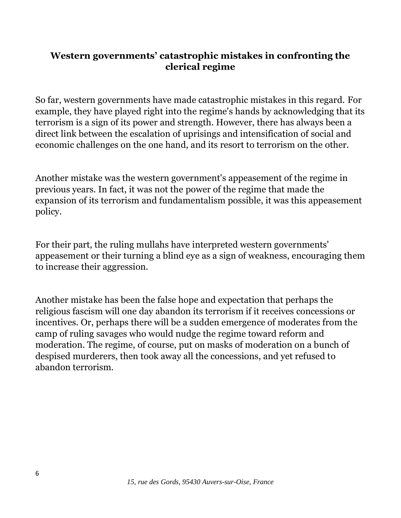### **Western governments' catastrophic mistakes in confronting the clerical regime**

So far, western governments have made catastrophic mistakes in this regard. For example, they have played right into the regime's hands by acknowledging that its terrorism is a sign of its power and strength. However, there has always been a direct link between the escalation of uprisings and intensification of social and economic challenges on the one hand, and its resort to terrorism on the other.

Another mistake was the western government's appeasement of the regime in previous years. In fact, it was not the power of the regime that made the expansion of its terrorism and fundamentalism possible, it was this appeasement policy.

For their part, the ruling mullahs have interpreted western governments' appeasement or their turning a blind eye as a sign of weakness, encouraging them to increase their aggression.

Another mistake has been the false hope and expectation that perhaps the religious fascism will one day abandon its terrorism if it receives concessions or incentives. Or, perhaps there will be a sudden emergence of moderates from the camp of ruling savages who would nudge the regime toward reform and moderation. The regime, of course, put on masks of moderation on a bunch of despised murderers, then took away all the concessions, and yet refused to abandon terrorism.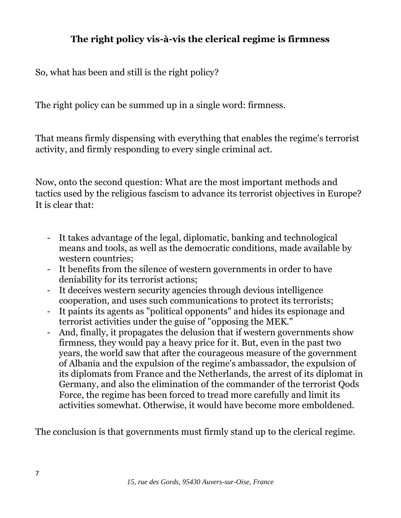# **The right policy vis-à-vis the clerical regime is firmness**

So, what has been and still is the right policy?

The right policy can be summed up in a single word: firmness.

That means firmly dispensing with everything that enables the regime's terrorist activity, and firmly responding to every single criminal act.

Now, onto the second question: What are the most important methods and tactics used by the religious fascism to advance its terrorist objectives in Europe? It is clear that:

- It takes advantage of the legal, diplomatic, banking and technological means and tools, as well as the democratic conditions, made available by western countries;
- It benefits from the silence of western governments in order to have deniability for its terrorist actions;
- It deceives western security agencies through devious intelligence cooperation, and uses such communications to protect its terrorists;
- It paints its agents as "political opponents" and hides its espionage and terrorist activities under the guise of "opposing the MEK."
- And, finally, it propagates the delusion that if western governments show firmness, they would pay a heavy price for it. But, even in the past two years, the world saw that after the courageous measure of the government of Albania and the expulsion of the regime's ambassador, the expulsion of its diplomats from France and the Netherlands, the arrest of its diplomat in Germany, and also the elimination of the commander of the terrorist Qods Force, the regime has been forced to tread more carefully and limit its activities somewhat. Otherwise, it would have become more emboldened.

The conclusion is that governments must firmly stand up to the clerical regime.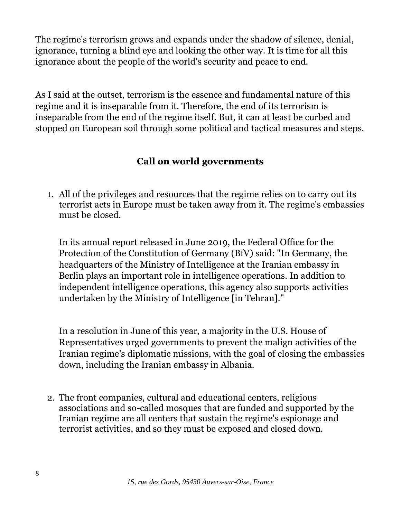The regime's terrorism grows and expands under the shadow of silence, denial, ignorance, turning a blind eye and looking the other way. It is time for all this ignorance about the people of the world's security and peace to end.

As I said at the outset, terrorism is the essence and fundamental nature of this regime and it is inseparable from it. Therefore, the end of its terrorism is inseparable from the end of the regime itself. But, it can at least be curbed and stopped on European soil through some political and tactical measures and steps.

# **Call on world governments**

1. All of the privileges and resources that the regime relies on to carry out its terrorist acts in Europe must be taken away from it. The regime's embassies must be closed.

In its annual report released in June 2019, the Federal Office for the Protection of the Constitution of Germany (BfV) said: "In Germany, the headquarters of the Ministry of Intelligence at the Iranian embassy in Berlin plays an important role in intelligence operations. In addition to independent intelligence operations, this agency also supports activities undertaken by the Ministry of Intelligence [in Tehran]."

In a resolution in June of this year, a majority in the U.S. House of Representatives urged governments to prevent the malign activities of the Iranian regime's diplomatic missions, with the goal of closing the embassies down, including the Iranian embassy in Albania.

2. The front companies, cultural and educational centers, religious associations and so-called mosques that are funded and supported by the Iranian regime are all centers that sustain the regime's espionage and terrorist activities, and so they must be exposed and closed down.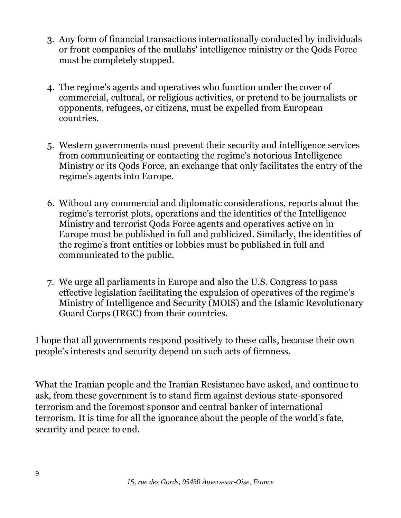- 3. Any form of financial transactions internationally conducted by individuals or front companies of the mullahs' intelligence ministry or the Qods Force must be completely stopped.
- 4. The regime's agents and operatives who function under the cover of commercial, cultural, or religious activities, or pretend to be journalists or opponents, refugees, or citizens, must be expelled from European countries.
- 5. Western governments must prevent their security and intelligence services from communicating or contacting the regime's notorious Intelligence Ministry or its Qods Force, an exchange that only facilitates the entry of the regime's agents into Europe.
- 6. Without any commercial and diplomatic considerations, reports about the regime's terrorist plots, operations and the identities of the Intelligence Ministry and terrorist Qods Force agents and operatives active on in Europe must be published in full and publicized. Similarly, the identities of the regime's front entities or lobbies must be published in full and communicated to the public.
- 7. We urge all parliaments in Europe and also the U.S. Congress to pass effective legislation facilitating the expulsion of operatives of the regime's Ministry of Intelligence and Security (MOIS) and the Islamic Revolutionary Guard Corps (IRGC) from their countries.

I hope that all governments respond positively to these calls, because their own people's interests and security depend on such acts of firmness.

What the Iranian people and the Iranian Resistance have asked, and continue to ask, from these government is to stand firm against devious state-sponsored terrorism and the foremost sponsor and central banker of international terrorism. It is time for all the ignorance about the people of the world's fate, security and peace to end.